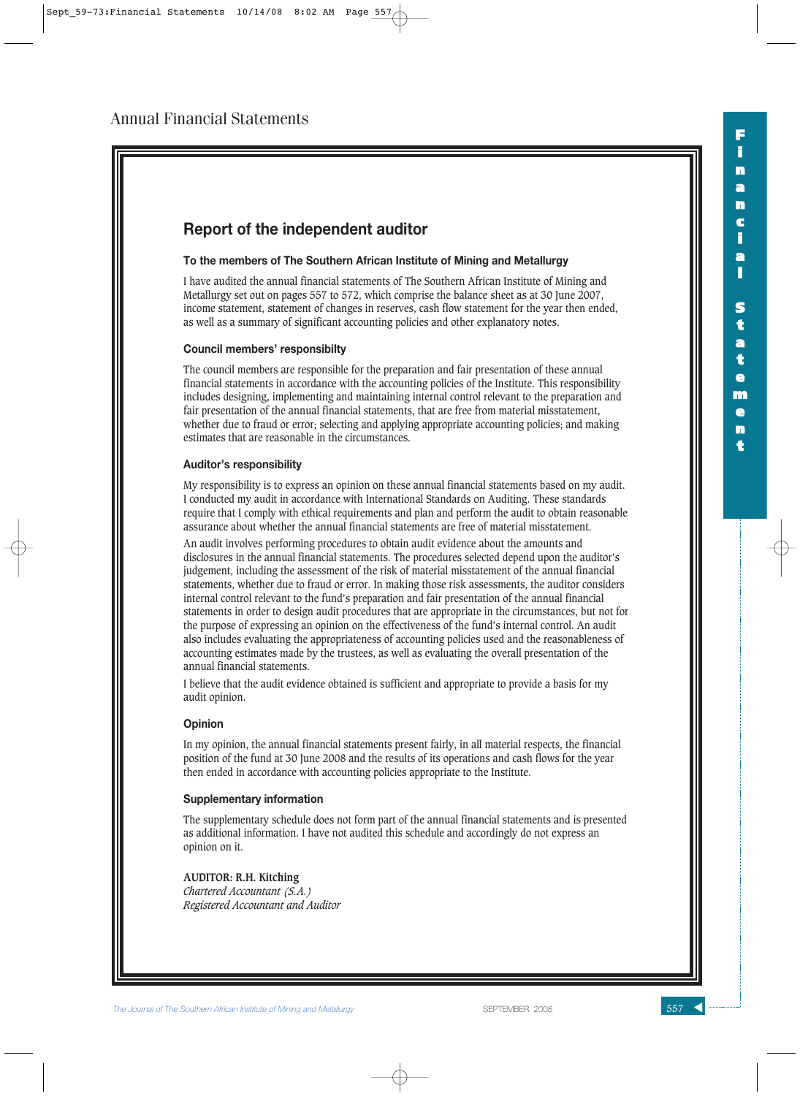

**F i n a n**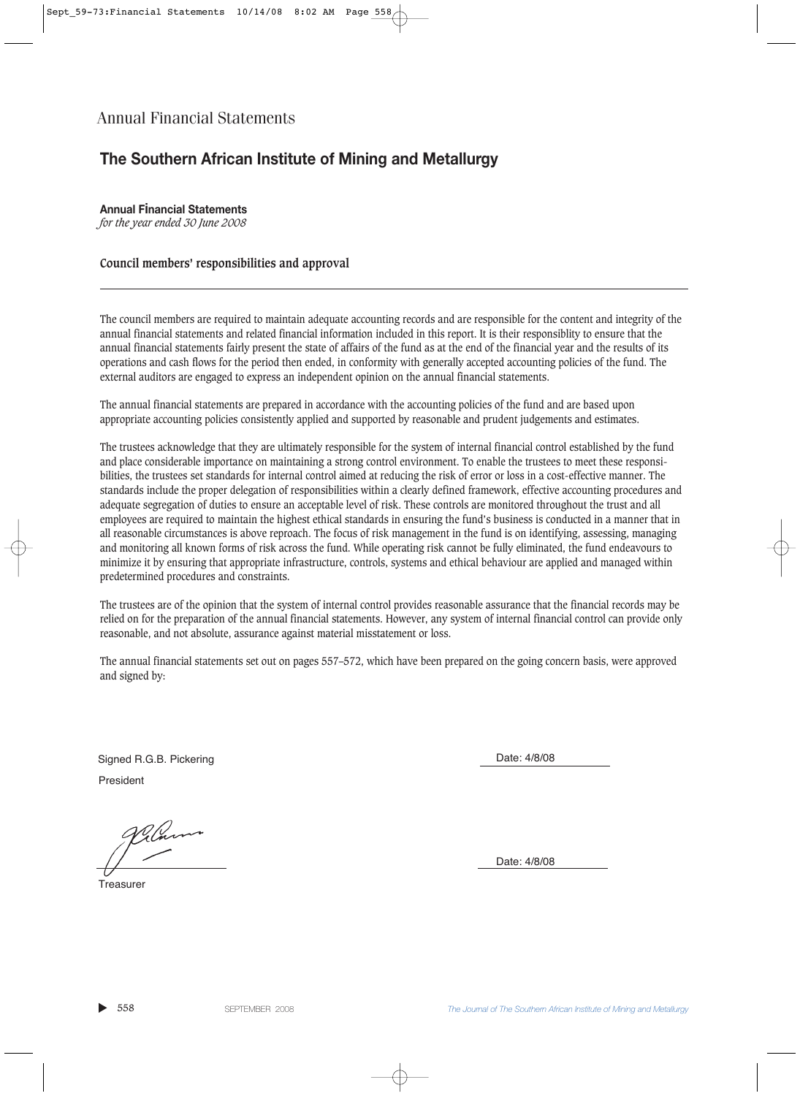## **The Southern African Institute of Mining and Metallurgy**

**Annual Financial Statements** *for the year ended 30 June 2008*

#### **Council members' responsibilities and approval**

The council members are required to maintain adequate accounting records and are responsible for the content and integrity of the annual financial statements and related financial information included in this report. It is their responsiblity to ensure that the annual financial statements fairly present the state of affairs of the fund as at the end of the financial year and the results of its operations and cash flows for the period then ended, in conformity with generally accepted accounting policies of the fund. The external auditors are engaged to express an independent opinion on the annual financial statements.

The annual financial statements are prepared in accordance with the accounting policies of the fund and are based upon appropriate accounting policies consistently applied and supported by reasonable and prudent judgements and estimates.

The trustees acknowledge that they are ultimately responsible for the system of internal financial control established by the fund and place considerable importance on maintaining a strong control environment. To enable the trustees to meet these responsibilities, the trustees set standards for internal control aimed at reducing the risk of error or loss in a cost-effective manner. The standards include the proper delegation of responsibilities within a clearly defined framework, effective accounting procedures and adequate segregation of duties to ensure an acceptable level of risk. These controls are monitored throughout the trust and all employees are required to maintain the highest ethical standards in ensuring the fund's business is conducted in a manner that in all reasonable circumstances is above reproach. The focus of risk management in the fund is on identifying, assessing, managing and monitoring all known forms of risk across the fund. While operating risk cannot be fully eliminated, the fund endeavours to minimize it by ensuring that appropriate infrastructure, controls, systems and ethical behaviour are applied and managed within predetermined procedures and constraints.

The trustees are of the opinion that the system of internal control provides reasonable assurance that the financial records may be relied on for the preparation of the annual financial statements. However, any system of internal financial control can provide only reasonable, and not absolute, assurance against material misstatement or loss.

The annual financial statements set out on pages 557–572, which have been prepared on the going concern basis, were approved and signed by:

President Signed R.G.B. Pickering **Date: 4/8/08** Date: 4/8/08

**Treasurer** 

Date: 4/8/08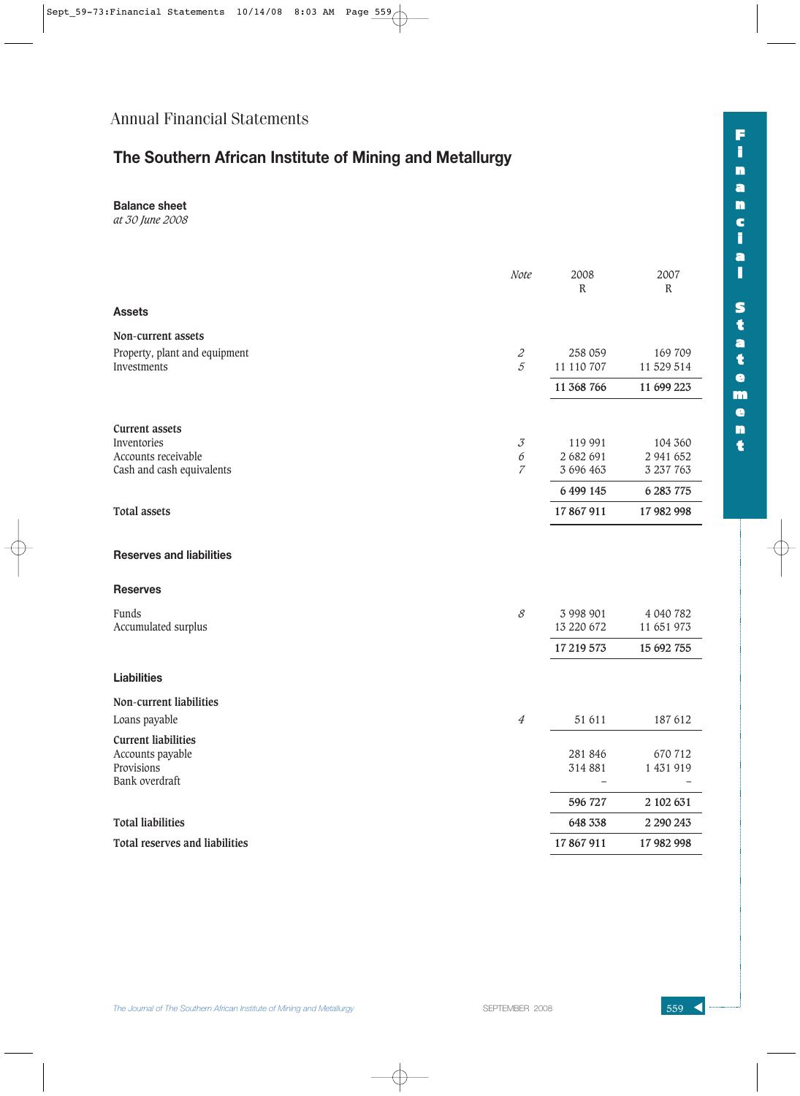# **The Southern African Institute of Mining and Metallurgy**

**Balance sheet**

*at 30 June 2008*

|                                       | Note                                 | 2008<br>R  | 2007<br>$\mathbb R$ |
|---------------------------------------|--------------------------------------|------------|---------------------|
| <b>Assets</b>                         |                                      |            |                     |
| Non-current assets                    |                                      |            |                     |
| Property, plant and equipment         | $\mathcal Z$                         | 258 059    | 169 709             |
| Investments                           | $\overline{5}$                       | 11 110 707 | 11 529 514          |
|                                       |                                      | 11 368 766 | 11 699 223          |
| <b>Current assets</b>                 |                                      |            |                     |
| Inventories                           | $\mathcal{J}% _{G}(\mathcal{M}_{G})$ | 119 991    | 104 360             |
| Accounts receivable                   | 6                                    | 2 682 691  | 2 941 652           |
| Cash and cash equivalents             | $\overline{7}$                       | 3 696 463  | 3 237 763           |
|                                       |                                      | 6499145    | 6 283 775           |
| <b>Total assets</b>                   |                                      | 17867911   | 17 982 998          |
| <b>Reserves and liabilities</b>       |                                      |            |                     |
| <b>Reserves</b>                       |                                      |            |                     |
| Funds                                 | $\mathcal S$                         | 3 998 901  | 4 040 782           |
| Accumulated surplus                   |                                      | 13 220 672 | 11 651 973          |
|                                       |                                      | 17 219 573 | 15 692 755          |
| <b>Liabilities</b>                    |                                      |            |                     |
| Non-current liabilities               |                                      |            |                     |
| Loans payable                         | $\ensuremath{\mathnormal{4}}$        | 51 611     | 187 612             |
| <b>Current liabilities</b>            |                                      |            |                     |
| Accounts payable                      |                                      | 281 846    | 670 712             |
| Provisions                            |                                      | 314 881    | 1 431 919           |
| Bank overdraft                        |                                      |            |                     |
|                                       |                                      | 596 727    | 2 102 631           |
| <b>Total liabilities</b>              |                                      | 648 338    | 2 290 243           |
| <b>Total reserves and liabilities</b> |                                      | 17867911   | 17 982 998          |

**F**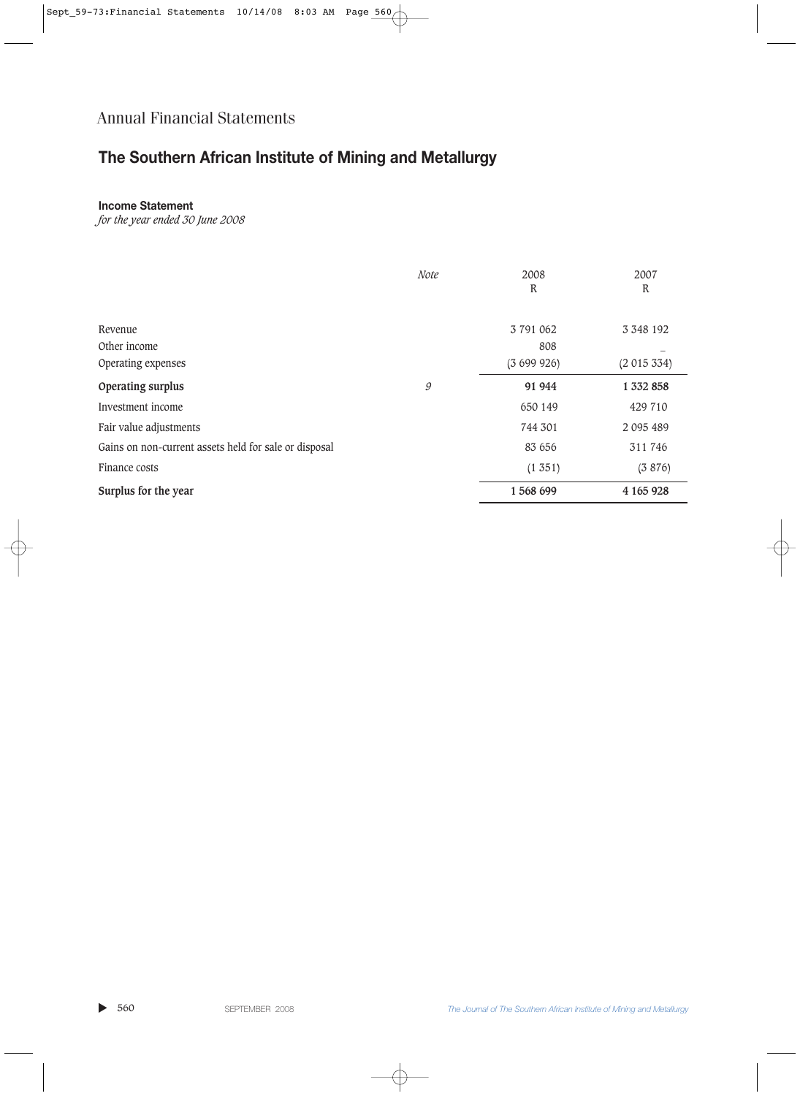# **The Southern African Institute of Mining and Metallurgy**

### **Income Statement**

*for the year ended 30 June 2008*

|                                                       | <b>Note</b> | 2008<br>R                     | 2007<br>R                    |
|-------------------------------------------------------|-------------|-------------------------------|------------------------------|
| Revenue<br>Other income<br>Operating expenses         |             | 3 791 062<br>808<br>(3699926) | 3 3 4 8 1 9 2<br>(2 015 334) |
| Operating surplus                                     | 9           | 91 944                        | 1 332 858                    |
| Investment income                                     |             | 650 149                       | 429 710                      |
| Fair value adjustments                                |             | 744 301                       | 2 095 489                    |
| Gains on non-current assets held for sale or disposal |             | 83 656                        | 311 746                      |
| Finance costs                                         |             | (1351)                        | (3876)                       |
| Surplus for the year                                  |             | 1568699                       | 4 165 928                    |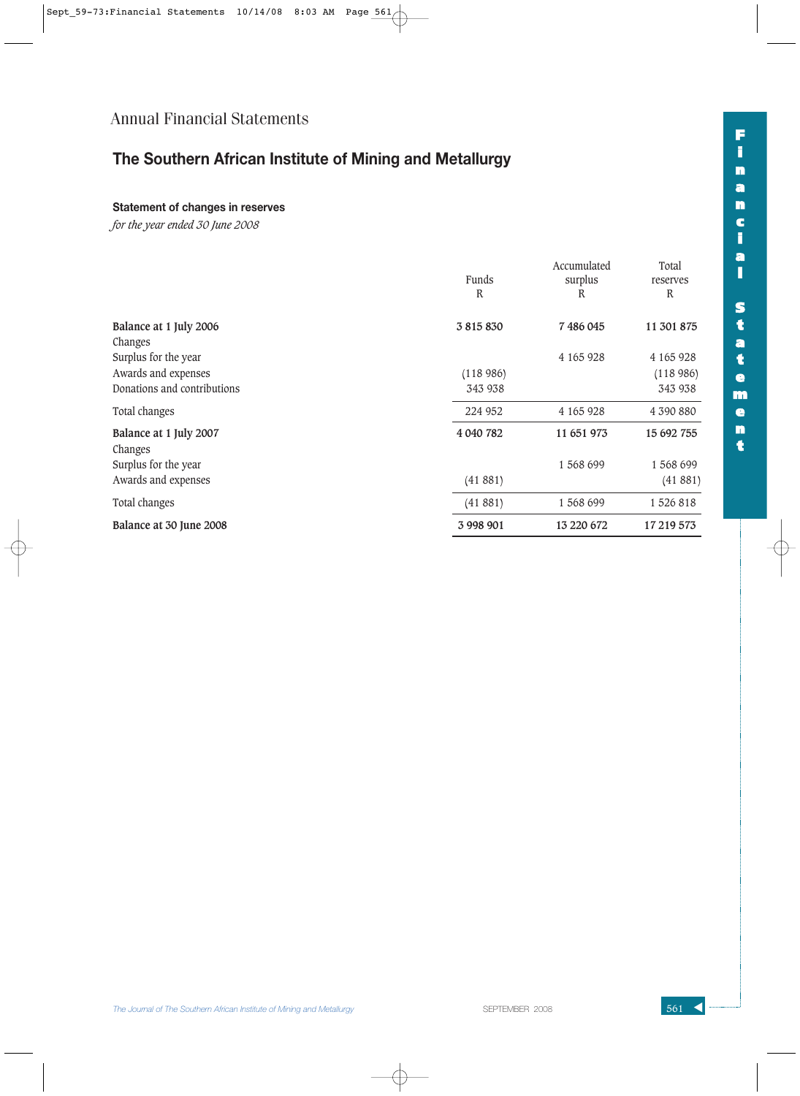# **The Southern African Institute of Mining and Metallurgy**

### **Statement of changes in reserves**

*for the year ended 30 June 2008*

| Funds<br>R | Accumulated<br>surplus<br>R | Total<br>reserves<br>$\mathbb{R}$ |
|------------|-----------------------------|-----------------------------------|
| 3815830    | 7486045                     | 11 301 875                        |
|            |                             |                                   |
|            | 4 165 928                   | 4 165 928                         |
| (118986)   |                             | (118986)                          |
| 343 938    |                             | 343 938                           |
| 224 952    | 4 165 928                   | 4 390 880                         |
| 4 040 782  | 11 651 973                  | 15 692 755                        |
|            | 1568699                     | 1 568 699                         |
| (41881)    |                             | (41881)                           |
| (41881)    | 1 568 699                   | 1526818                           |
| 3 998 901  | 13 220 672                  | 17 219 573                        |
|            |                             |                                   |

**F**

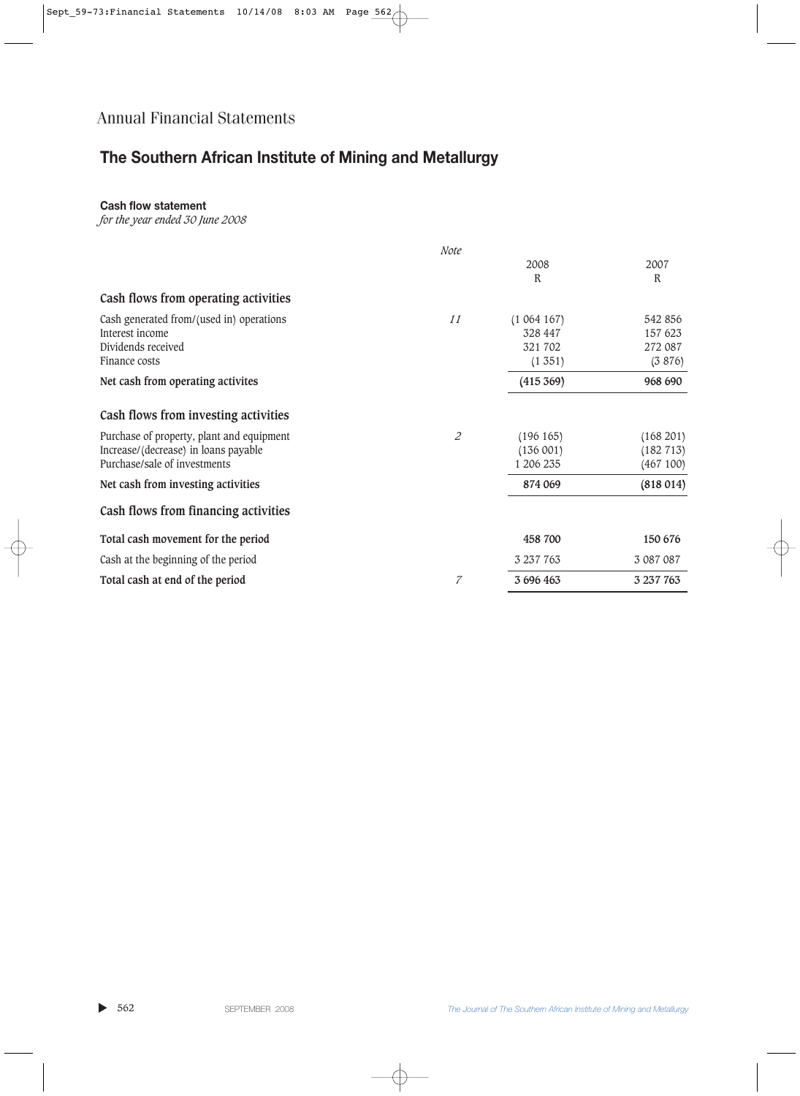# **The Southern African Institute of Mining and Metallurgy**

### **Cash flow statement**

*for the year ended 30 June 2008*

|                                           | Note           |           |           |
|-------------------------------------------|----------------|-----------|-----------|
|                                           |                | 2008      | 2007      |
|                                           |                | R         | R         |
| Cash flows from operating activities      |                |           |           |
| Cash generated from/(used in) operations  | 11             | (1064167) | 542 856   |
| Interest income                           |                | 328 447   | 157 623   |
| Dividends received                        |                | 321 702   | 272 087   |
| Finance costs                             |                | (1351)    | (3 876)   |
| Net cash from operating activites         |                | (415 369) | 968 690   |
| Cash flows from investing activities      |                |           |           |
| Purchase of property, plant and equipment | $\overline{c}$ | (196 165) | (168 201) |
| Increase/(decrease) in loans payable      |                | (136001)  | (182 713) |
| Purchase/sale of investments              |                | 1 206 235 | (467100)  |
| Net cash from investing activities        |                | 874 069   | (818014)  |
| Cash flows from financing activities      |                |           |           |
| Total cash movement for the period        |                | 458 700   | 150 676   |
| Cash at the beginning of the period       |                | 3 237 763 | 3 087 087 |
| Total cash at end of the period           | 7              | 3 696 463 | 3 237 763 |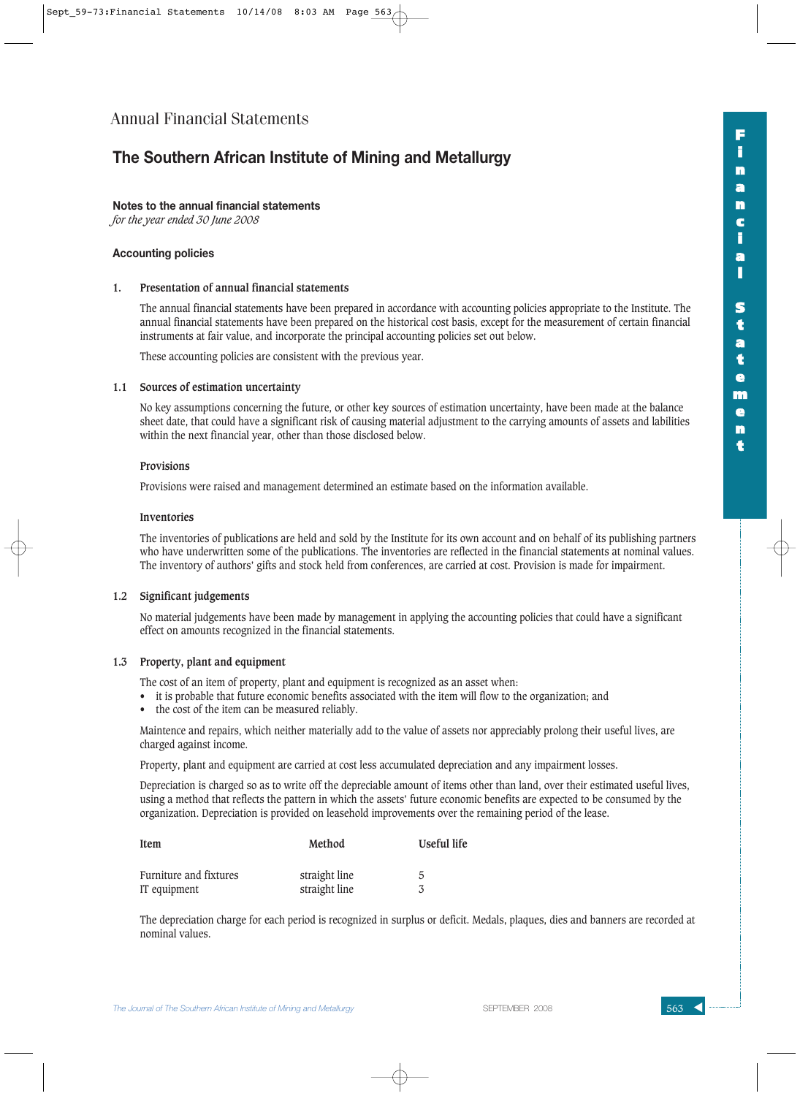## **The Southern African Institute of Mining and Metallurgy**

#### **Notes to the annual financial statements**

*for the year ended 30 June 2008*

#### **Accounting policies**

#### **1. Presentation of annual financial statements**

The annual financial statements have been prepared in accordance with accounting policies appropriate to the Institute. The annual financial statements have been prepared on the historical cost basis, except for the measurement of certain financial instruments at fair value, and incorporate the principal accounting policies set out below.

**F i n a n c i a l**

**S t a t e m e n t**

These accounting policies are consistent with the previous year.

#### **1.1 Sources of estimation uncertainty**

No key assumptions concerning the future, or other key sources of estimation uncertainty, have been made at the balance sheet date, that could have a significant risk of causing material adjustment to the carrying amounts of assets and labilities within the next financial year, other than those disclosed below.

#### **Provisions**

Provisions were raised and management determined an estimate based on the information available.

#### **Inventories**

The inventories of publications are held and sold by the Institute for its own account and on behalf of its publishing partners who have underwritten some of the publications. The inventories are reflected in the financial statements at nominal values. The inventory of authors' gifts and stock held from conferences, are carried at cost. Provision is made for impairment.

#### **1.2 Significant judgements**

No material judgements have been made by management in applying the accounting policies that could have a significant effect on amounts recognized in the financial statements.

#### **1.3 Property, plant and equipment**

The cost of an item of property, plant and equipment is recognized as an asset when:

- it is probable that future economic benefits associated with the item will flow to the organization; and
- the cost of the item can be measured reliably.

Maintence and repairs, which neither materially add to the value of assets nor appreciably prolong their useful lives, are charged against income.

Property, plant and equipment are carried at cost less accumulated depreciation and any impairment losses.

Depreciation is charged so as to write off the depreciable amount of items other than land, over their estimated useful lives, using a method that reflects the pattern in which the assets' future economic benefits are expected to be consumed by the organization. Depreciation is provided on leasehold improvements over the remaining period of the lease.

| Item                   | Method        | Useful life |
|------------------------|---------------|-------------|
| Furniture and fixtures | straight line | 5           |
| IT equipment           | straight line |             |

The depreciation charge for each period is recognized in surplus or deficit. Medals, plaques, dies and banners are recorded at nominal values.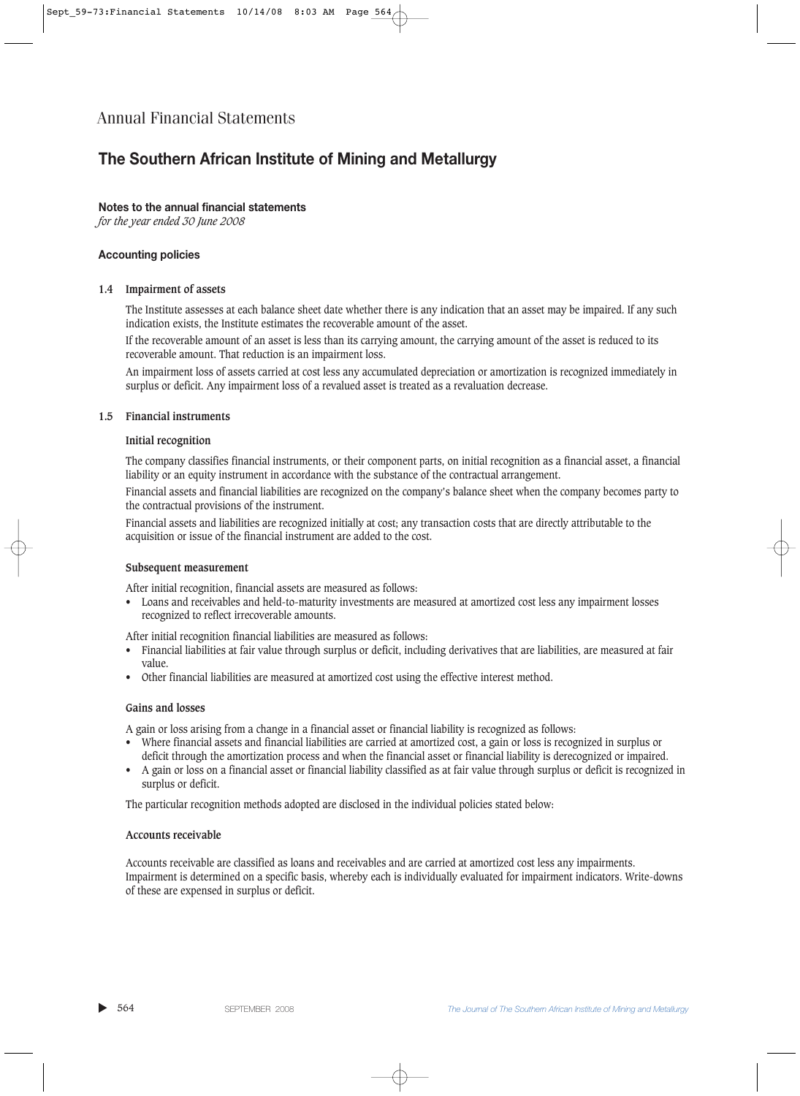## **The Southern African Institute of Mining and Metallurgy**

#### **Notes to the annual financial statements**

*for the year ended 30 June 2008*

#### **Accounting policies**

#### **1.4 Impairment of assets**

The Institute assesses at each balance sheet date whether there is any indication that an asset may be impaired. If any such indication exists, the Institute estimates the recoverable amount of the asset.

If the recoverable amount of an asset is less than its carrying amount, the carrying amount of the asset is reduced to its recoverable amount. That reduction is an impairment loss.

An impairment loss of assets carried at cost less any accumulated depreciation or amortization is recognized immediately in surplus or deficit. Any impairment loss of a revalued asset is treated as a revaluation decrease.

#### **1.5 Financial instruments**

#### **Initial recognition**

The company classifies financial instruments, or their component parts, on initial recognition as a financial asset, a financial liability or an equity instrument in accordance with the substance of the contractual arrangement.

Financial assets and financial liabilities are recognized on the company's balance sheet when the company becomes party to the contractual provisions of the instrument.

Financial assets and liabilities are recognized initially at cost; any transaction costs that are directly attributable to the acquisition or issue of the financial instrument are added to the cost.

#### **Subsequent measurement**

After initial recognition, financial assets are measured as follows:

• Loans and receivables and held-to-maturity investments are measured at amortized cost less any impairment losses recognized to reflect irrecoverable amounts.

After initial recognition financial liabilities are measured as follows:

- Financial liabilities at fair value through surplus or deficit, including derivatives that are liabilities, are measured at fair value.
- Other financial liabilities are measured at amortized cost using the effective interest method.

#### **Gains and losses**

A gain or loss arising from a change in a financial asset or financial liability is recognized as follows:

- Where financial assets and financial liabilities are carried at amortized cost, a gain or loss is recognized in surplus or
- deficit through the amortization process and when the financial asset or financial liability is derecognized or impaired.
- A gain or loss on a financial asset or financial liability classified as at fair value through surplus or deficit is recognized in surplus or deficit.

The particular recognition methods adopted are disclosed in the individual policies stated below:

#### **Accounts receivable**

Accounts receivable are classified as loans and receivables and are carried at amortized cost less any impairments. Impairment is determined on a specific basis, whereby each is individually evaluated for impairment indicators. Write-downs of these are expensed in surplus or deficit.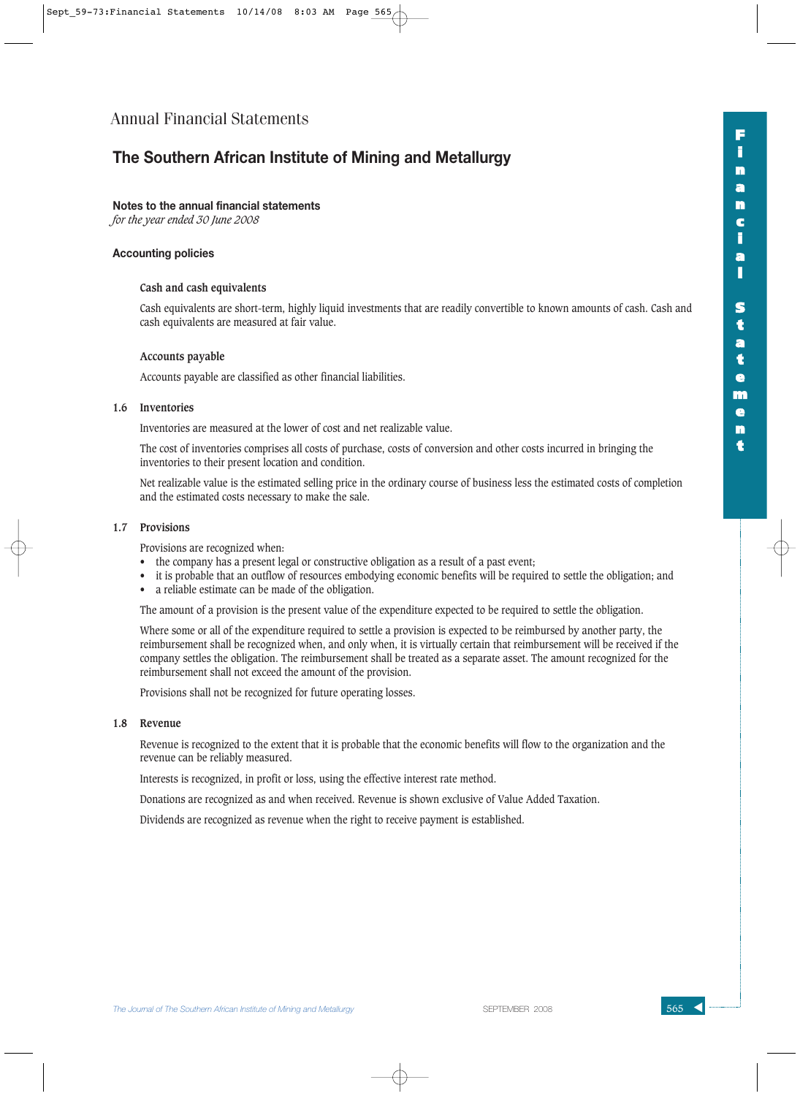## **The Southern African Institute of Mining and Metallurgy**

#### **Notes to the annual financial statements**

*for the year ended 30 June 2008*

#### **Accounting policies**

#### **Cash and cash equivalents**

Cash equivalents are short-term, highly liquid investments that are readily convertible to known amounts of cash. Cash and cash equivalents are measured at fair value.

#### **Accounts payable**

Accounts payable are classified as other financial liabilities.

#### **1.6 Inventories**

Inventories are measured at the lower of cost and net realizable value.

The cost of inventories comprises all costs of purchase, costs of conversion and other costs incurred in bringing the inventories to their present location and condition.

Net realizable value is the estimated selling price in the ordinary course of business less the estimated costs of completion and the estimated costs necessary to make the sale.

#### **1.7 Provisions**

Provisions are recognized when:

- the company has a present legal or constructive obligation as a result of a past event;
- it is probable that an outflow of resources embodying economic benefits will be required to settle the obligation; and
- a reliable estimate can be made of the obligation.

The amount of a provision is the present value of the expenditure expected to be required to settle the obligation.

Where some or all of the expenditure required to settle a provision is expected to be reimbursed by another party, the reimbursement shall be recognized when, and only when, it is virtually certain that reimbursement will be received if the company settles the obligation. The reimbursement shall be treated as a separate asset. The amount recognized for the reimbursement shall not exceed the amount of the provision.

Provisions shall not be recognized for future operating losses.

#### **1.8 Revenue**

Revenue is recognized to the extent that it is probable that the economic benefits will flow to the organization and the revenue can be reliably measured.

Interests is recognized, in profit or loss, using the effective interest rate method.

Donations are recognized as and when received. Revenue is shown exclusive of Value Added Taxation.

Dividends are recognized as revenue when the right to receive payment is established.

**F**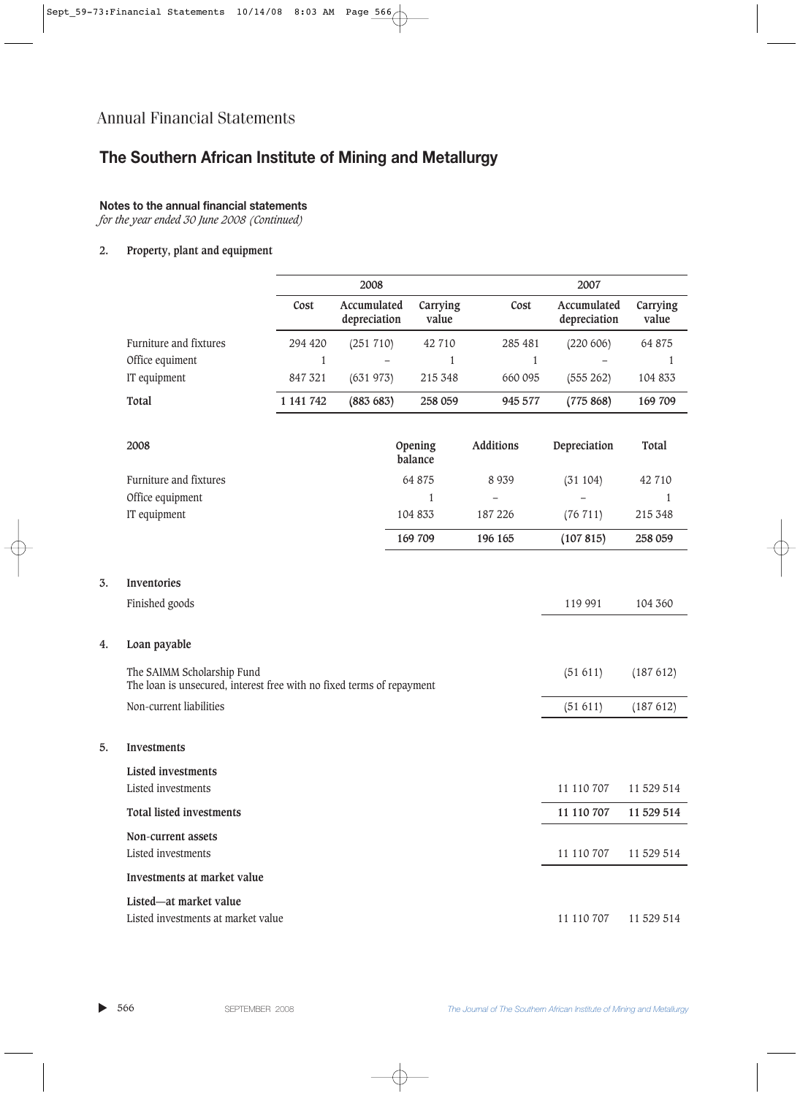# **The Southern African Institute of Mining and Metallurgy**

### **Notes to the annual financial statements**

*for the year ended 30 June 2008 (Continued)*

#### **2. Property, plant and equipment**

|                                                                                                     |              | 2008                        |                    |              | 2007                        |                   |
|-----------------------------------------------------------------------------------------------------|--------------|-----------------------------|--------------------|--------------|-----------------------------|-------------------|
|                                                                                                     | Cost         | Accumulated<br>depreciation | Carrying<br>value  | Cost         | Accumulated<br>depreciation | Carrying<br>value |
| Furniture and fixtures                                                                              | 294 420      | (251 710)                   | 42 710             | 285 481      | (220 606)                   | 64 875            |
| Office equiment                                                                                     | $\mathbf{1}$ |                             | 1                  | $\mathbf{1}$ |                             | 1                 |
| IT equipment                                                                                        | 847 321      | (631973)                    | 215 348            | 660 095      | (555 262)                   | 104 833           |
| Total                                                                                               | 1 141 742    | (883683)                    | 258 059            | 945 577      | (775868)                    | 169 709           |
| 2008                                                                                                |              |                             | Opening<br>balance | Additions    | Depreciation                | Total             |
| Furniture and fixtures                                                                              |              |                             | 64 875             | 8 9 3 9      | (31104)                     | 42 710            |
| Office equipment                                                                                    |              |                             | 1                  |              |                             | 1                 |
| IT equipment                                                                                        |              |                             | 104 833            | 187 226      | (76 711)                    | 215 348           |
|                                                                                                     |              |                             | 169 709            | 196 165      | (107815)                    | 258 059           |
| Inventories<br>Finished goods                                                                       |              |                             |                    |              | 119 991                     | 104 360           |
| Loan payable                                                                                        |              |                             |                    |              |                             |                   |
| The SAIMM Scholarship Fund<br>The loan is unsecured, interest free with no fixed terms of repayment |              |                             |                    |              | (51611)                     | (187612)          |
| Non-current liabilities                                                                             |              |                             |                    |              | (51 611)                    | (187612)          |
| Investments                                                                                         |              |                             |                    |              |                             |                   |
| <b>Listed investments</b><br>Listed investments                                                     |              |                             |                    |              | 11 110 707                  | 11 529 514        |
| <b>Total listed investments</b>                                                                     |              |                             |                    |              | 11 110 707                  | 11 529 514        |
| Non-current assets<br>Listed investments                                                            |              |                             |                    |              | 11 110 707                  | 11 529 514        |
| Investments at market value                                                                         |              |                             |                    |              |                             |                   |
| Listed-at market value<br>Listed investments at market value                                        |              |                             |                    |              | 11 110 707                  | 11 529 514        |

**3. Inventories**

**4. Loan payable**

**5. Investments**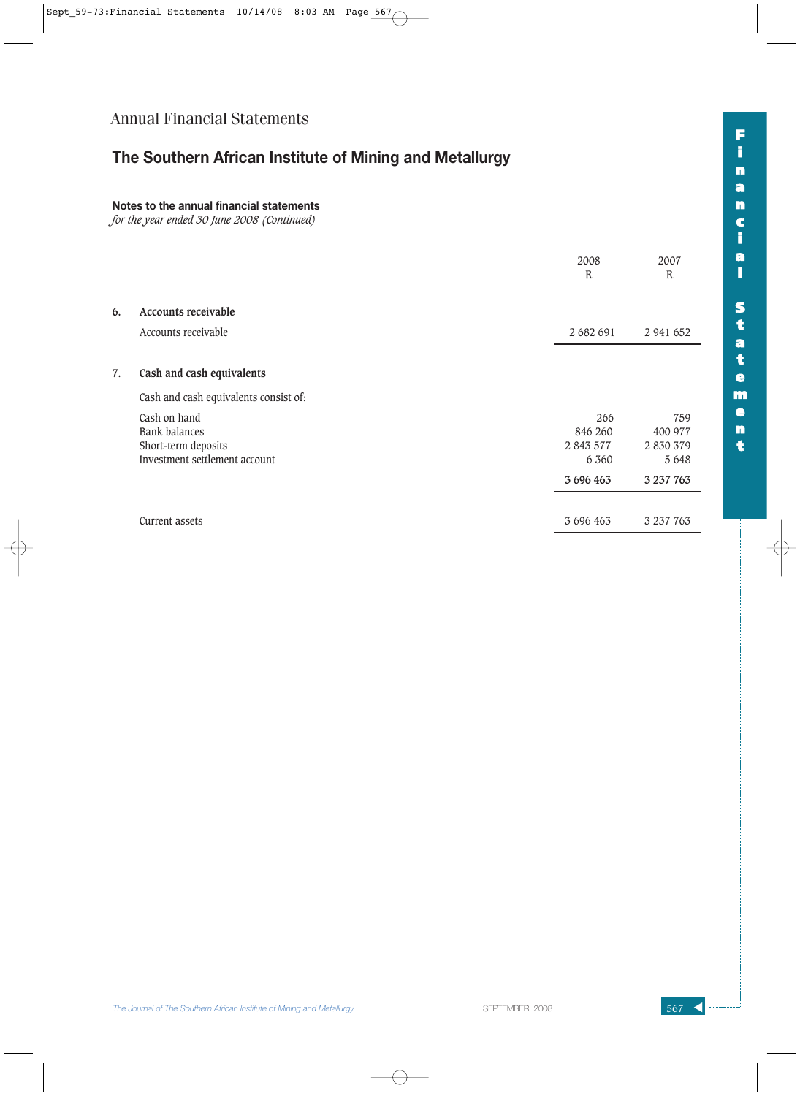# **The Southern African Institute of Mining and Metallurgy**

### **Notes to the annual financial statements**

*for the year ended 30 June 2008 (Continued)*

|                                                                                              | 2008<br>${\bf R}$                      | 2007<br>$\mathbb{R}$                 |
|----------------------------------------------------------------------------------------------|----------------------------------------|--------------------------------------|
| 6.<br>Accounts receivable                                                                    |                                        |                                      |
| Accounts receivable                                                                          | 2 682 691                              | 2 941 652                            |
| Cash and cash equivalents<br>7.                                                              |                                        |                                      |
| Cash and cash equivalents consist of:                                                        |                                        |                                      |
| Cash on hand<br><b>Bank balances</b><br>Short-term deposits<br>Investment settlement account | 266<br>846 260<br>2 843 577<br>6 3 6 0 | 759<br>400 977<br>2830379<br>5 6 4 8 |
|                                                                                              | 3 696 463                              | 3 237 763                            |
| Current assets                                                                               | 3 696 463                              | 3 237 763                            |

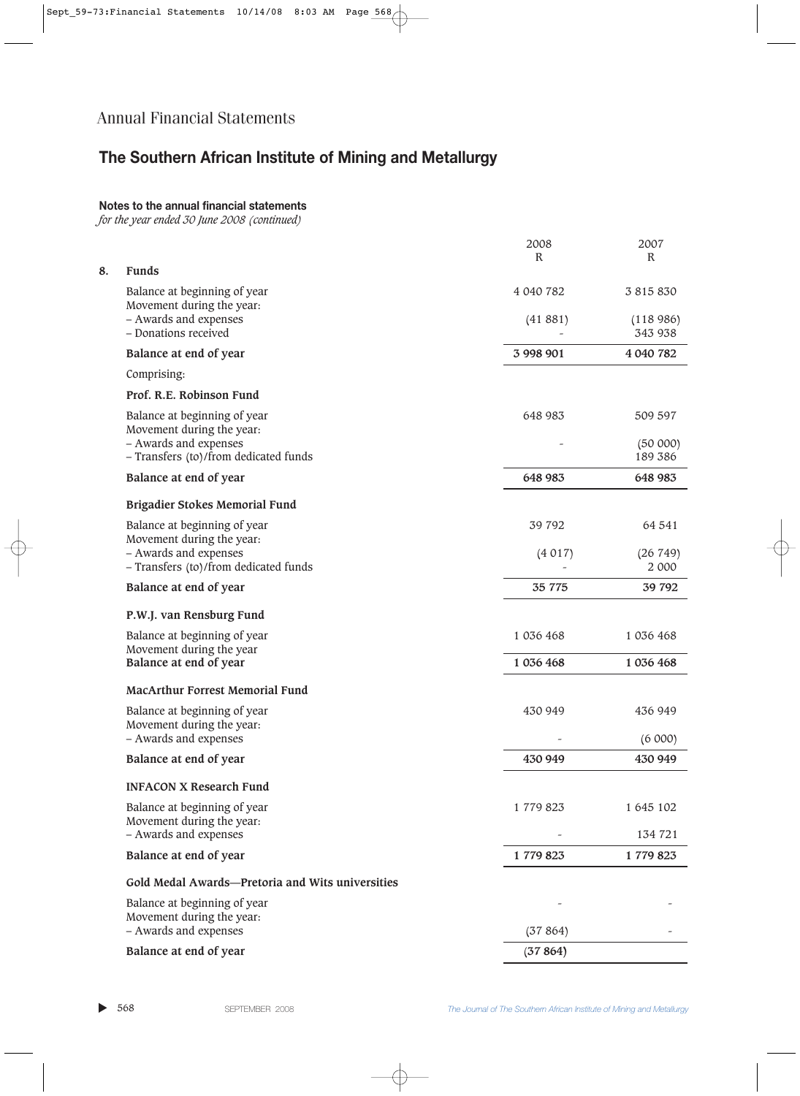# **The Southern African Institute of Mining and Metallurgy**

### **Notes to the annual financial statements**

*for the year ended 30 June 2008 (continued)*

|    |                                                                | 2008<br>$\mathbb{R}$ | 2007<br>$\mathbb{R}$            |
|----|----------------------------------------------------------------|----------------------|---------------------------------|
| 8. | <b>Funds</b>                                                   |                      |                                 |
|    | Balance at beginning of year<br>Movement during the year:      | 4 040 782            | 3 815 830                       |
|    | - Awards and expenses<br>- Donations received                  | (41881)              | (118986)<br>343 938             |
|    | Balance at end of year                                         | 3 998 901            | 4 040 782                       |
|    | Comprising:                                                    |                      |                                 |
|    | Prof. R.E. Robinson Fund                                       |                      |                                 |
|    | Balance at beginning of year<br>Movement during the year:      | 648 983              | 509 597                         |
|    | - Awards and expenses<br>- Transfers (to)/from dedicated funds |                      | 189 386                         |
|    | Balance at end of year                                         | 648 983              | 648 983                         |
|    | Brigadier Stokes Memorial Fund                                 |                      |                                 |
|    | Balance at beginning of year<br>Movement during the year:      | 39 792               | 64 541                          |
|    | - Awards and expenses<br>- Transfers (to)/from dedicated funds | (4017)               | (26749)<br>2 000                |
|    | Balance at end of year                                         | 35 7 7 5             | 39 792                          |
|    | P.W.J. van Rensburg Fund                                       |                      |                                 |
|    | Balance at beginning of year<br>Movement during the year       | 1 036 468            | 1 036 468                       |
|    | Balance at end of year                                         | 1 036 468            | 1 036 468                       |
|    | <b>MacArthur Forrest Memorial Fund</b>                         |                      |                                 |
|    | Balance at beginning of year                                   | 430 949              | 436 949                         |
|    | Movement during the year:<br>- Awards and expenses             |                      | (6 000)                         |
|    | Balance at end of year                                         | 430 949              | 430 949                         |
|    | <b>INFACON X Research Fund</b>                                 |                      |                                 |
|    | Balance at beginning of year<br>Movement during the year:      | 1 779 823            | 1 645 102                       |
|    | - Awards and expenses                                          |                      | (50000)<br>134 721<br>1 779 823 |
|    | Balance at end of year                                         | 1779823              |                                 |
|    | Gold Medal Awards-Pretoria and Wits universities               |                      |                                 |
|    | Balance at beginning of year                                   |                      |                                 |
|    | Movement during the year:<br>- Awards and expenses             | (37864)              |                                 |
|    | Balance at end of year                                         | (37864)              |                                 |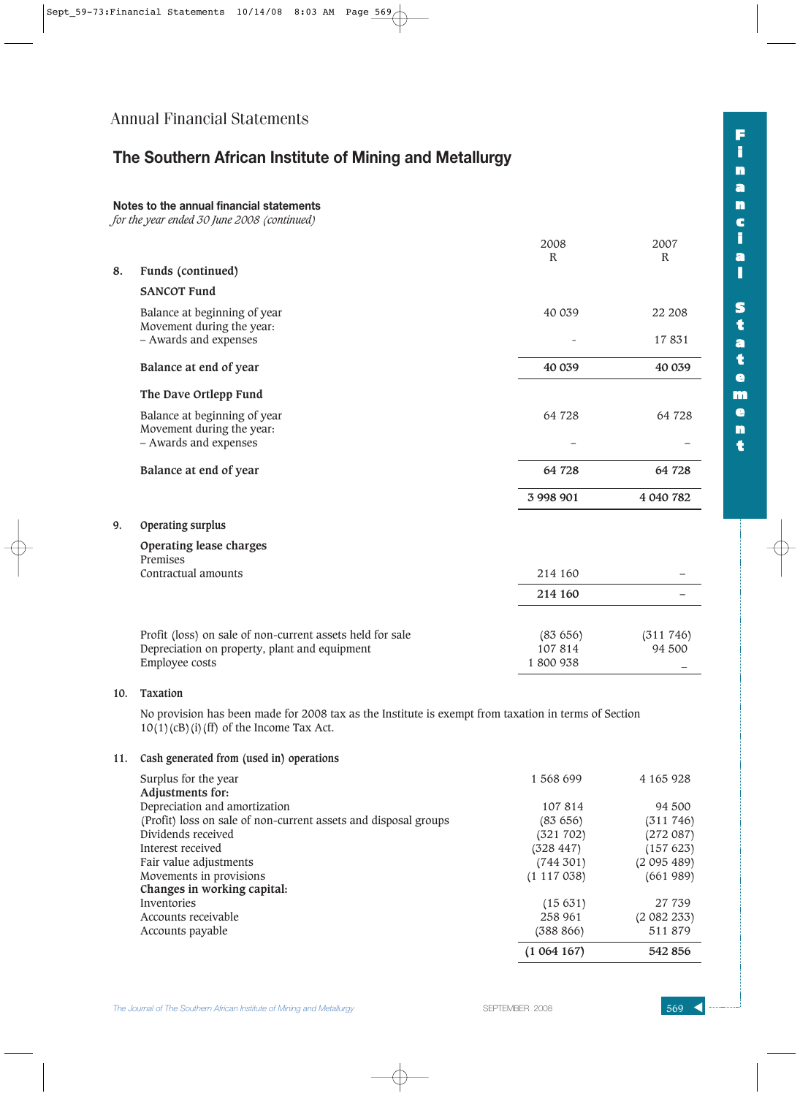## **The Southern African Institute of Mining and Metallurgy**

### **Notes to the annual financial statements**

*for the year ended 30 June 2008 (continued)*

|    |                                                           | 2008         | 2007      |
|----|-----------------------------------------------------------|--------------|-----------|
| 8. | Funds (continued)                                         | $\mathbb{R}$ | R         |
|    | <b>SANCOT Fund</b>                                        |              |           |
|    | Balance at beginning of year<br>Movement during the year: | 40 039       | 22 208    |
|    | - Awards and expenses                                     |              | 17831     |
|    | Balance at end of year                                    | 40 039       | 40 039    |
|    | The Dave Ortlepp Fund                                     |              |           |
|    | Balance at beginning of year<br>Movement during the year: | 64 728       | 64 728    |
|    | - Awards and expenses                                     |              |           |
|    | Balance at end of year                                    | 64 728       | 64 728    |
|    |                                                           | 3 998 901    | 4 040 782 |
| 9. | Operating surplus                                         |              |           |

| Operating lease charges<br>Premises                       |         |           |
|-----------------------------------------------------------|---------|-----------|
| Contractual amounts                                       | 214 160 |           |
|                                                           | 214 160 |           |
|                                                           |         |           |
| Profit (loss) on sale of non-current assets held for sale | (83656) | (311 746) |
| Depreciation on property, plant and equipment             | 107814  | 94 500    |
| Employee costs                                            | 1800938 |           |

#### **10. Taxation**

No provision has been made for 2008 tax as the Institute is exempt from taxation in terms of Section  $10(1)(cB)(i)$ (ff) of the Income Tax Act.

#### **11. Cash generated from (used in) operations**

| Surplus for the year                                            | 1 568 699       | 4 165 928 |
|-----------------------------------------------------------------|-----------------|-----------|
| Adjustments for:                                                |                 |           |
| Depreciation and amortization                                   | 107814          | 94 500    |
| (Profit) loss on sale of non-current assets and disposal groups | (83656)         | (311 746) |
| Dividends received                                              | (321 702)       | (272087)  |
| Interest received                                               | (328 447)       | (157623)  |
| Fair value adjustments                                          | (744301)        | (2095489) |
| Movements in provisions                                         | $(1\;117\;038)$ | (661989)  |
| Changes in working capital:                                     |                 |           |
| Inventories                                                     | (15631)         | 27 739    |
| Accounts receivable                                             | 258 961         | (2082233) |
| Accounts payable                                                | (388 866)       | 511879    |
|                                                                 | (1064167)       | 542 856   |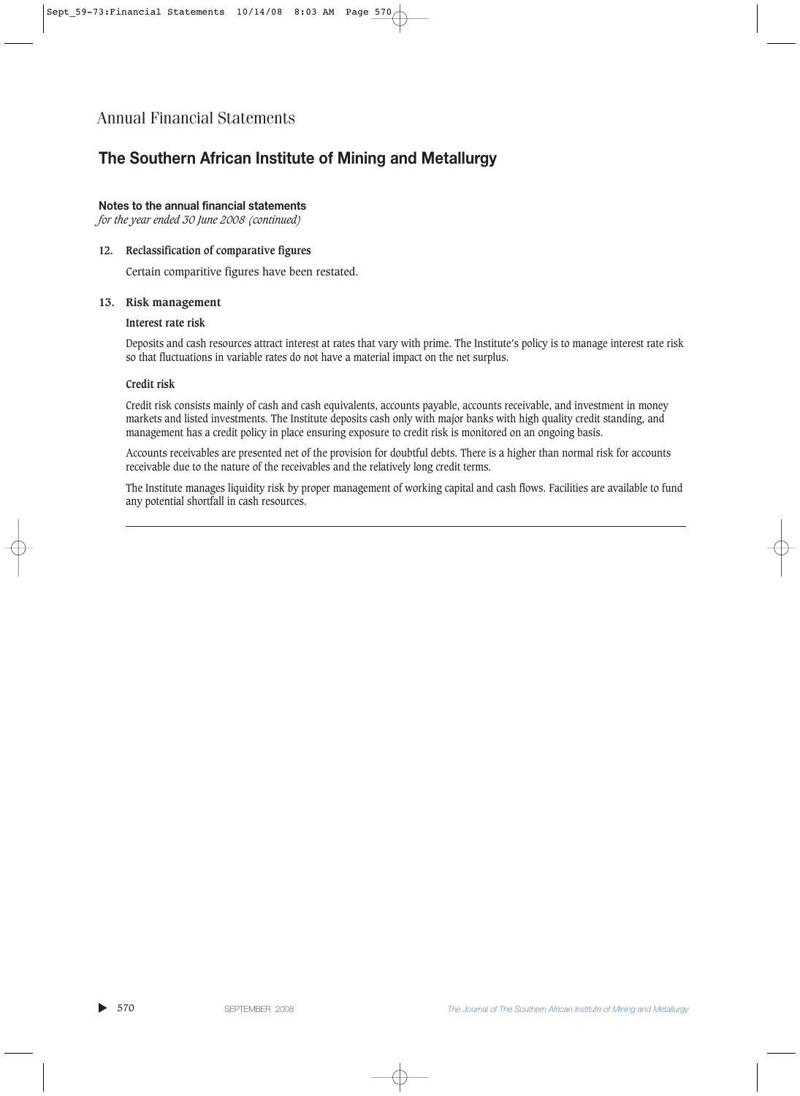## **The Southern African Institute of Mining and Metallurgy**

#### **Notes to the annual financial statements**

*for the year ended 30 June 2008 (continued)*

#### **12. Reclassification of comparative figures**

Certain comparitive figures have been restated.

#### **13. Risk management**

#### **Interest rate risk**

Deposits and cash resources attract interest at rates that vary with prime. The Institute's policy is to manage interest rate risk so that fluctuations in variable rates do not have a material impact on the net surplus.

#### **Credit risk**

Credit risk consists mainly of cash and cash equivalents, accounts payable, accounts receivable, and investment in money markets and listed investments. The Institute deposits cash only with major banks with high quality credit standing, and management has a credit policy in place ensuring exposure to credit risk is monitored on an ongoing basis.

Accounts receivables are presented net of the provision for doubtful debts. There is a higher than normal risk for accounts receivable due to the nature of the receivables and the relatively long credit terms.

The Institute manages liquidity risk by proper management of working capital and cash flows. Facilities are available to fund any potential shortfall in cash resources.